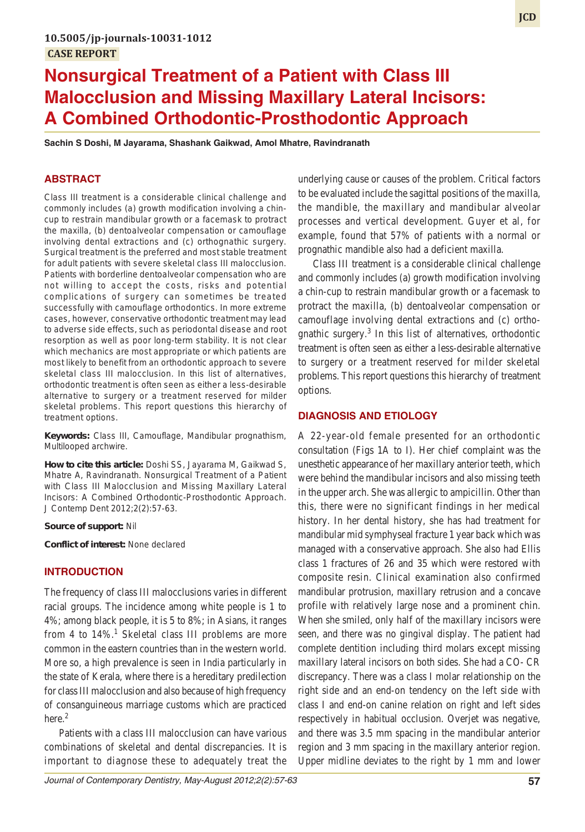# **Nonsurgical Treatment of a Patient with Class III Malocclusion and Missing Maxillary Lateral Incisors: A Combined Orthodontic-Prosthodontic Approach**

**Sachin S Doshi, M Jayarama, Shashank Gaikwad, Amol Mhatre, Ravindranath**

# **ABSTRACT**

Class III treatment is a considerable clinical challenge and commonly includes (a) growth modification involving a chincup to restrain mandibular growth or a facemask to protract the maxilla, (b) dentoalveolar compensation or camouflage involving dental extractions and (c) orthognathic surgery. Surgical treatment is the preferred and most stable treatment for adult patients with severe skeletal class III malocclusion. Patients with borderline dentoalveolar compensation who are not willing to accept the costs, risks and potential complications of surgery can sometimes be treated successfully with camouflage orthodontics. In more extreme cases, however, conservative orthodontic treatment may lead to adverse side effects, such as periodontal disease and root resorption as well as poor long-term stability. It is not clear which mechanics are most appropriate or which patients are most likely to benefit from an orthodontic approach to severe skeletal class III malocclusion. In this list of alternatives, orthodontic treatment is often seen as either a less-desirable alternative to surgery or a treatment reserved for milder skeletal problems. This report questions this hierarchy of treatment options.

**Keywords:** Class III, Camouflage, Mandibular prognathism, Multilooped archwire.

**How to cite this article:** Doshi SS, Jayarama M, Gaikwad S, Mhatre A, Ravindranath. Nonsurgical Treatment of a Patient with Class III Malocclusion and Missing Maxillary Lateral Incisors: A Combined Orthodontic-Prosthodontic Approach. J Contemp Dent 2012;2(2):57-63.

**Source of support:** Nil

**Conflict of interest:** None declared

## **INTRODUCTION**

The frequency of class III malocclusions varies in different racial groups. The incidence among white people is 1 to 4%; among black people, it is 5 to 8%; in Asians, it ranges from 4 to 14%.<sup>1</sup> Skeletal class III problems are more common in the eastern countries than in the western world. More so, a high prevalence is seen in India particularly in the state of Kerala, where there is a hereditary predilection for class III malocclusion and also because of high frequency of consanguineous marriage customs which are practiced here.<sup>2</sup>

Patients with a class III malocclusion can have various combinations of skeletal and dental discrepancies. It is important to diagnose these to adequately treat the underlying cause or causes of the problem. Critical factors to be evaluated include the sagittal positions of the maxilla, the mandible, the maxillary and mandibular alveolar processes and vertical development. Guyer et al, for example, found that 57% of patients with a normal or prognathic mandible also had a deficient maxilla.

Class III treatment is a considerable clinical challenge and commonly includes (a) growth modification involving a chin-cup to restrain mandibular growth or a facemask to protract the maxilla, (b) dentoalveolar compensation or camouflage involving dental extractions and (c) orthognathic surgery.<sup>3</sup> In this list of alternatives, orthodontic treatment is often seen as either a less-desirable alternative to surgery or a treatment reserved for milder skeletal problems. This report questions this hierarchy of treatment options.

#### **DIAGNOSIS AND ETIOLOGY**

A 22-year-old female presented for an orthodontic consultation (Figs 1A to I). Her chief complaint was the unesthetic appearance of her maxillary anterior teeth, which were behind the mandibular incisors and also missing teeth in the upper arch. She was allergic to ampicillin. Other than this, there were no significant findings in her medical history. In her dental history, she has had treatment for mandibular mid symphyseal fracture 1 year back which was managed with a conservative approach. She also had Ellis class 1 fractures of 26 and 35 which were restored with composite resin. Clinical examination also confirmed mandibular protrusion, maxillary retrusion and a concave profile with relatively large nose and a prominent chin. When she smiled, only half of the maxillary incisors were seen, and there was no gingival display. The patient had complete dentition including third molars except missing maxillary lateral incisors on both sides. She had a CO- CR discrepancy. There was a class I molar relationship on the right side and an end-on tendency on the left side with class I and end-on canine relation on right and left sides respectively in habitual occlusion. Overjet was negative, and there was 3.5 mm spacing in the mandibular anterior region and 3 mm spacing in the maxillary anterior region. Upper midline deviates to the right by 1 mm and lower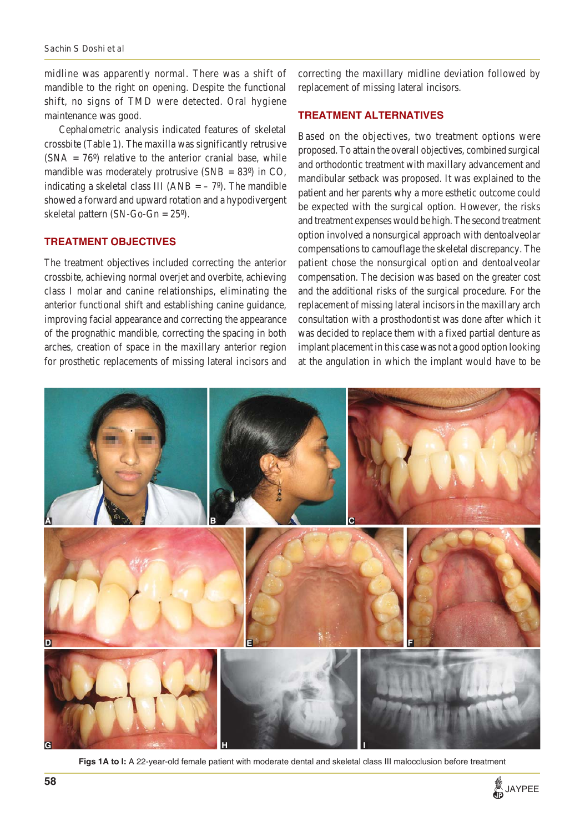midline was apparently normal. There was a shift of mandible to the right on opening. Despite the functional shift, no signs of TMD were detected. Oral hygiene maintenance was good.

Cephalometric analysis indicated features of skeletal crossbite (Table 1). The maxilla was significantly retrusive  $(SNA = 76^{\circ})$  relative to the anterior cranial base, while mandible was moderately protrusive  $(SNB = 83^{\circ})$  in CO, indicating a skeletal class III (ANB  $=$  –  $7^{\circ}$ ). The mandible showed a forward and upward rotation and a hypodivergent skeletal pattern (SN-Go-Gn = 25º).

# **TREATMENT OBJECTIVES**

The treatment objectives included correcting the anterior crossbite, achieving normal overjet and overbite, achieving class I molar and canine relationships, eliminating the anterior functional shift and establishing canine guidance, improving facial appearance and correcting the appearance of the prognathic mandible, correcting the spacing in both arches, creation of space in the maxillary anterior region for prosthetic replacements of missing lateral incisors and

correcting the maxillary midline deviation followed by replacement of missing lateral incisors.

#### **TREATMENT ALTERNATIVES**

Based on the objectives, two treatment options were proposed. To attain the overall objectives, combined surgical and orthodontic treatment with maxillary advancement and mandibular setback was proposed. It was explained to the patient and her parents why a more esthetic outcome could be expected with the surgical option. However, the risks and treatment expenses would be high. The second treatment option involved a nonsurgical approach with dentoalveolar compensations to camouflage the skeletal discrepancy. The patient chose the nonsurgical option and dentoalveolar compensation. The decision was based on the greater cost and the additional risks of the surgical procedure. For the replacement of missing lateral incisors in the maxillary arch consultation with a prosthodontist was done after which it was decided to replace them with a fixed partial denture as implant placement in this case was not a good option looking at the angulation in which the implant would have to be



**Figs 1A to I:** A 22-year-old female patient with moderate dental and skeletal class III malocclusion before treatment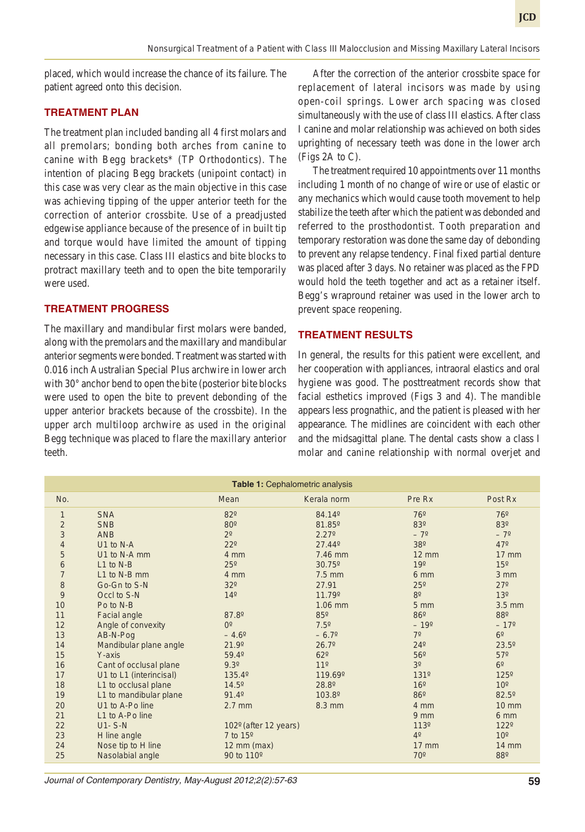placed, which would increase the chance of its failure. The patient agreed onto this decision.

# **TREATMENT PLAN**

The treatment plan included banding all 4 first molars and all premolars; bonding both arches from canine to canine with Begg brackets\* (TP Orthodontics). The intention of placing Begg brackets (unipoint contact) in this case was very clear as the main objective in this case was achieving tipping of the upper anterior teeth for the correction of anterior crossbite. Use of a preadjusted edgewise appliance because of the presence of in built tip and torque would have limited the amount of tipping necessary in this case. Class III elastics and bite blocks to protract maxillary teeth and to open the bite temporarily were used.

# **TREATMENT PROGRESS**

The maxillary and mandibular first molars were banded, along with the premolars and the maxillary and mandibular anterior segments were bonded. Treatment was started with 0.016 inch Australian Special Plus archwire in lower arch with 30° anchor bend to open the bite (posterior bite blocks were used to open the bite to prevent debonding of the upper anterior brackets because of the crossbite). In the upper arch multiloop archwire as used in the original Begg technique was placed to flare the maxillary anterior teeth.

After the correction of the anterior crossbite space for replacement of lateral incisors was made by using open-coil springs. Lower arch spacing was closed simultaneously with the use of class III elastics. After class I canine and molar relationship was achieved on both sides uprighting of necessary teeth was done in the lower arch (Figs 2A to C).

The treatment required 10 appointments over 11 months including 1 month of no change of wire or use of elastic or any mechanics which would cause tooth movement to help stabilize the teeth after which the patient was debonded and referred to the prosthodontist. Tooth preparation and temporary restoration was done the same day of debonding to prevent any relapse tendency. Final fixed partial denture was placed after 3 days. No retainer was placed as the FPD would hold the teeth together and act as a retainer itself. Begg's wrapround retainer was used in the lower arch to prevent space reopening.

## **TREATMENT RESULTS**

In general, the results for this patient were excellent, and her cooperation with appliances, intraoral elastics and oral hygiene was good. The posttreatment records show that facial esthetics improved (Figs 3 and 4). The mandible appears less prognathic, and the patient is pleased with her appearance. The midlines are coincident with each other and the midsagittal plane. The dental casts show a class I molar and canine relationship with normal overjet and

| <b>Table 1: Cephalometric analysis</b> |                         |                       |                 |                 |                  |
|----------------------------------------|-------------------------|-----------------------|-----------------|-----------------|------------------|
| No.                                    |                         | Mean                  | Kerala norm     | Pre Rx          | Post Rx          |
| $\mathbf{1}$                           | <b>SNA</b>              | 82°                   | 84.14°          | <b>76°</b>      | <b>76°</b>       |
| $\overline{\mathbf{c}}$                | <b>SNB</b>              | 80 <sup>o</sup>       | 81.85°          | 83°             | 83°              |
| 3                                      | <b>ANB</b>              | $2^{\circ}$           | 2.27°           | $-7^{\circ}$    | $-7^{\circ}$     |
| $\overline{\mathcal{L}}$               | U1 to N-A               | $22^{\circ}$          | 27.44°          | 380             | 47°              |
| 5                                      | U1 to N-A mm            | 4 mm                  | 7.46 mm         | $12 \text{ mm}$ | <b>17 mm</b>     |
| 6                                      | $L1$ to N-B             | $25^{\circ}$          | 30.75°          | 19°             | 15 <sup>o</sup>  |
| $\overline{7}$                         | L1 to N-B mm            | 4 mm                  | $7.5$ mm        | 6 mm            | 3 mm             |
| $\bf 8$                                | Go-Gn to S-N            | 32°                   | 27.91           | $25^{\circ}$    | $27^\circ$       |
| $\overline{9}$                         | Occl to S-N             | 14 <sup>°</sup>       | 11.79°          | 8 <sup>0</sup>  | 13 <sup>o</sup>  |
| 10                                     | Po to N-B               |                       | 1.06 mm         | 5 <sub>mm</sub> | 3.5 mm           |
| 11                                     | Facial angle            | 87.8°                 | 85°             | <b>86°</b>      | 880              |
| 12                                     | Angle of convexity      | O <sup>o</sup>        | $7.5^\circ$     | $-19^{\circ}$   | $-17^{\circ}$    |
| 13                                     | AB-N-Pog                | $-4.6^{\circ}$        | $-6.7^{\circ}$  | 7 <sup>0</sup>  | 6 <sup>o</sup>   |
| 14                                     | Mandibular plane angle  | 21.9°                 | 26.7°           | $24^{\circ}$    | $23.5^{\circ}$   |
| 15                                     | Y-axis                  | 59.4°                 | $62^{\circ}$    | 56°             | $57^\circ$       |
| 16                                     | Cant of occlusal plane  | 9.3°                  | 11 <sup>°</sup> | 3 <sup>0</sup>  | 6 <sup>o</sup>   |
| 17                                     | U1 to L1 (interincisal) | 135.4°                | 119.69°         | <b>131º</b>     | 125 <sup>°</sup> |
| 18                                     | L1 to occlusal plane    | $14.5^{\circ}$        | 28.8°           | 16 <sup>o</sup> | 10 <sup>o</sup>  |
| 19                                     | L1 to mandibular plane  | 91.4°                 | 103.8°          | 86°             | 82.5°            |
| 20                                     | U1 to A-Po line         | $2.7$ mm              | 8.3 mm          | 4 mm            | <b>10 mm</b>     |
| 21                                     | L1 to A-Po line         |                       |                 | 9 <sub>mm</sub> | 6 mm             |
| 22                                     | $U1 - S-N$              | 102º (after 12 years) |                 | <b>113°</b>     | <b>122°</b>      |
| 23                                     | H line angle            | 7 to 15°              |                 | 4 <sup>0</sup>  | 10 <sup>o</sup>  |
| 24                                     | Nose tip to H line      | $12 \text{ mm}$ (max) |                 | $17 \text{ mm}$ | <b>14 mm</b>     |
| 25                                     | Nasolabial angle        | 90 to 110°            |                 | 70 <sup>o</sup> | 880              |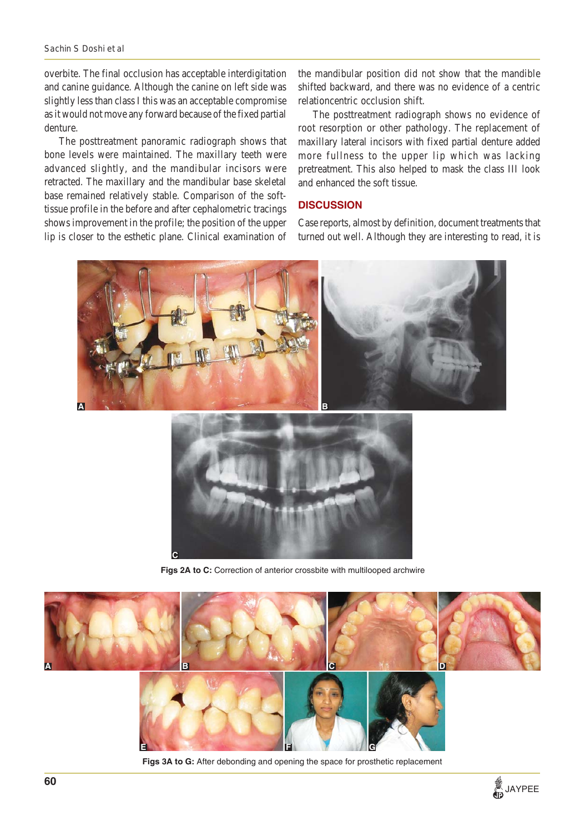## *Sachin S Doshi et al*

overbite. The final occlusion has acceptable interdigitation and canine guidance. Although the canine on left side was slightly less than class I this was an acceptable compromise as it would not move any forward because of the fixed partial denture.

The posttreatment panoramic radiograph shows that bone levels were maintained. The maxillary teeth were advanced slightly, and the mandibular incisors were retracted. The maxillary and the mandibular base skeletal base remained relatively stable. Comparison of the softtissue profile in the before and after cephalometric tracings shows improvement in the profile; the position of the upper lip is closer to the esthetic plane. Clinical examination of

the mandibular position did not show that the mandible shifted backward, and there was no evidence of a centric relationcentric occlusion shift.

The posttreatment radiograph shows no evidence of root resorption or other pathology. The replacement of maxillary lateral incisors with fixed partial denture added more fullness to the upper lip which was lacking pretreatment. This also helped to mask the class III look and enhanced the soft tissue.

# **DISCUSSION**

Case reports, almost by definition, document treatments that turned out well. Although they are interesting to read, it is





Figs 2A to C: Correction of anterior crossbite with multilooped archwire



**Figs 3A to G:** After debonding and opening the space for prosthetic replacement

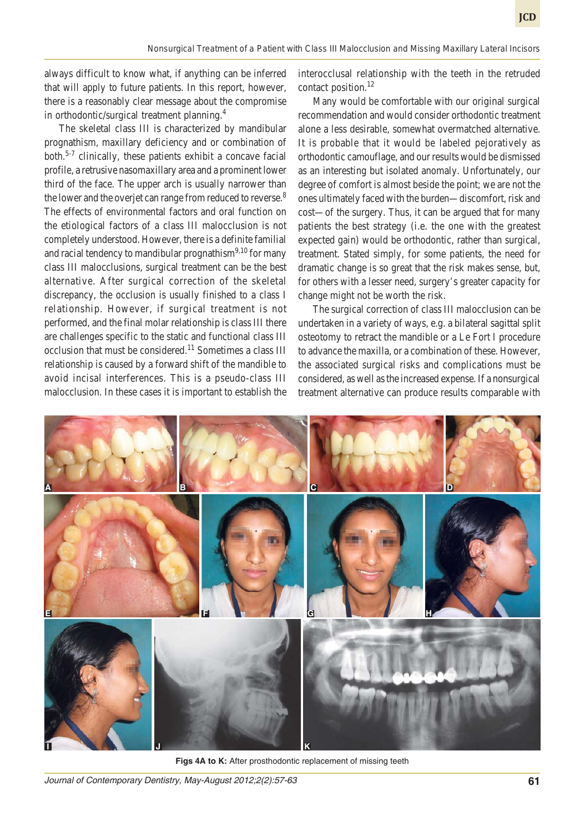always difficult to know what, if anything can be inferred that will apply to future patients. In this report, however, there is a reasonably clear message about the compromise in orthodontic/surgical treatment planning.<sup>4</sup>

The skeletal class III is characterized by mandibular prognathism, maxillary deficiency and or combination of both.5-7 clinically, these patients exhibit a concave facial profile, a retrusive nasomaxillary area and a prominent lower third of the face. The upper arch is usually narrower than the lower and the overjet can range from reduced to reverse.<sup>8</sup> The effects of environmental factors and oral function on the etiological factors of a class III malocclusion is not completely understood. However, there is a definite familial and racial tendency to mandibular prognathism<sup>9,10</sup> for many class III malocclusions, surgical treatment can be the best alternative. After surgical correction of the skeletal discrepancy, the occlusion is usually finished to a class I relationship. However, if surgical treatment is not performed, and the final molar relationship is class III there are challenges specific to the static and functional class III occlusion that must be considered.<sup>11</sup> Sometimes a class III relationship is caused by a forward shift of the mandible to avoid incisal interferences. This is a pseudo-class III malocclusion. In these cases it is important to establish the

interocclusal relationship with the teeth in the retruded contact position.<sup>12</sup>

Many would be comfortable with our original surgical recommendation and would consider orthodontic treatment alone a less desirable, somewhat overmatched alternative. It is probable that it would be labeled pejoratively as orthodontic camouflage, and our results would be dismissed as an interesting but isolated anomaly. Unfortunately, our degree of comfort is almost beside the point; we are not the ones ultimately faced with the burden—discomfort, risk and cost—of the surgery. Thus, it can be argued that for many patients the best strategy (i.e. the one with the greatest expected gain) would be orthodontic, rather than surgical, treatment. Stated simply, for some patients, the need for dramatic change is so great that the risk makes sense, but, for others with a lesser need, surgery's greater capacity for change might not be worth the risk.

The surgical correction of class III malocclusion can be undertaken in a variety of ways, e.g. a bilateral sagittal split osteotomy to retract the mandible or a Le Fort I procedure to advance the maxilla, or a combination of these. However, the associated surgical risks and complications must be considered, as well as the increased expense. If a nonsurgical treatment alternative can produce results comparable with



Figs 4A to K: After prosthodontic replacement of missing teeth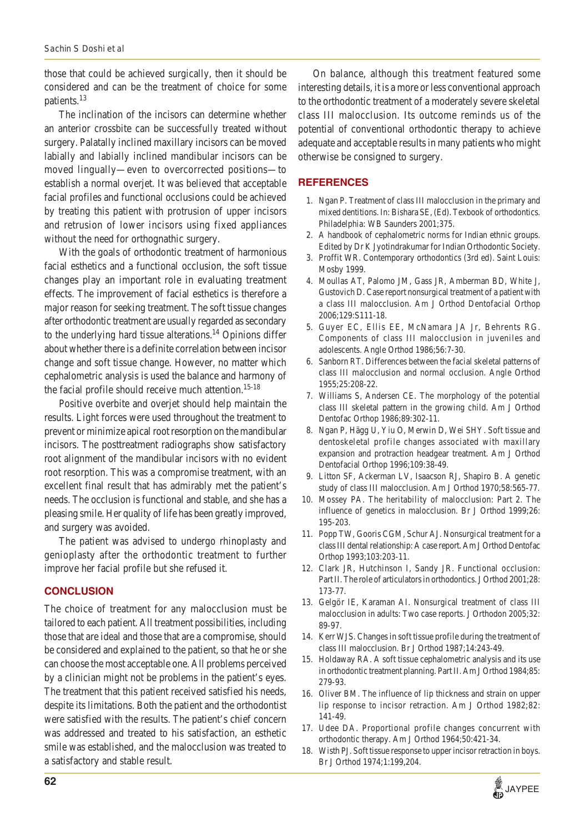those that could be achieved surgically, then it should be considered and can be the treatment of choice for some patients.<sup>13</sup>

The inclination of the incisors can determine whether an anterior crossbite can be successfully treated without surgery. Palatally inclined maxillary incisors can be moved labially and labially inclined mandibular incisors can be moved lingually—even to overcorrected positions—to establish a normal overjet. It was believed that acceptable facial profiles and functional occlusions could be achieved by treating this patient with protrusion of upper incisors and retrusion of lower incisors using fixed appliances without the need for orthognathic surgery.

With the goals of orthodontic treatment of harmonious facial esthetics and a functional occlusion, the soft tissue changes play an important role in evaluating treatment effects. The improvement of facial esthetics is therefore a major reason for seeking treatment. The soft tissue changes after orthodontic treatment are usually regarded as secondary to the underlying hard tissue alterations.<sup>14</sup> Opinions differ about whether there is a definite correlation between incisor change and soft tissue change. However, no matter which cephalometric analysis is used the balance and harmony of the facial profile should receive much attention.<sup>15-18</sup>

Positive overbite and overjet should help maintain the results. Light forces were used throughout the treatment to prevent or minimize apical root resorption on the mandibular incisors. The posttreatment radiographs show satisfactory root alignment of the mandibular incisors with no evident root resorption. This was a compromise treatment, with an excellent final result that has admirably met the patient's needs. The occlusion is functional and stable, and she has a pleasing smile. Her quality of life has been greatly improved, and surgery was avoided.

The patient was advised to undergo rhinoplasty and genioplasty after the orthodontic treatment to further improve her facial profile but she refused it.

#### **CONCLUSION**

The choice of treatment for any malocclusion must be tailored to each patient. All treatment possibilities, including those that are ideal and those that are a compromise, should be considered and explained to the patient, so that he or she can choose the most acceptable one. All problems perceived by a clinician might not be problems in the patient's eyes. The treatment that this patient received satisfied his needs, despite its limitations. Both the patient and the orthodontist were satisfied with the results. The patient's chief concern was addressed and treated to his satisfaction, an esthetic smile was established, and the malocclusion was treated to a satisfactory and stable result.

On balance, although this treatment featured some interesting details, it is a more or less conventional approach to the orthodontic treatment of a moderately severe skeletal class III malocclusion. Its outcome reminds us of the potential of conventional orthodontic therapy to achieve adequate and acceptable results in many patients who might otherwise be consigned to surgery.

#### **REFERENCES**

- 1. Ngan P. Treatment of class III malocclusion in the primary and mixed dentitions. In: Bishara SE, (Ed). Texbook of orthodontics. Philadelphia: WB Saunders 2001;375.
- 2. A handbook of cephalometric norms for Indian ethnic groups. Edited by Dr K Jyotindrakumar for Indian Orthodontic Society.
- 3. Proffit WR. Contemporary orthodontics (3rd ed). Saint Louis: Mosby 1999.
- 4. Moullas AT, Palomo JM, Gass JR, Amberman BD, White J, Gustovich D. Case report nonsurgical treatment of a patient with a class III malocclusion. Am J Orthod Dentofacial Orthop 2006;129:S111-18.
- 5. Guyer EC, Ellis EE, McNamara JA Jr, Behrents RG. Components of class III malocclusion in juveniles and adolescents. Angle Orthod 1986;56:7-30.
- 6. Sanborn RT. Differences between the facial skeletal patterns of class III malocclusion and normal occlusion. Angle Orthod 1955;25:208-22.
- 7. Williams S, Andersen CE. The morphology of the potential class III skeletal pattern in the growing child. Am J Orthod Dentofac Orthop 1986;89:302-11.
- 8. Ngan P, Hägg U, Yiu O, Merwin D, Wei SHY. Soft tissue and dentoskeletal profile changes associated with maxillary expansion and protraction headgear treatment. Am J Orthod Dentofacial Orthop 1996;109:38-49.
- 9. Litton SF, Ackerman LV, Isaacson RJ, Shapiro B. A genetic study of class III malocclusion. Am J Orthod 1970;58:565-77.
- 10. Mossey PA. The heritability of malocclusion: Part 2. The influence of genetics in malocclusion. Br J Orthod 1999;26: 195-203.
- 11. Popp TW, Gooris CGM, Schur AJ. Nonsurgical treatment for a class III dental relationship: A case report. Am J Orthod Dentofac Orthop 1993;103:203-11.
- 12. Clark JR, Hutchinson I, Sandy JR. Functional occlusion: Part II. The role of articulators in orthodontics. J Orthod 2001;28: 173-77.
- 13. Gelgör IE, Karaman AI. Nonsurgical treatment of class III malocclusion in adults: Two case reports. J Orthodon 2005;32: 89-97.
- 14. Kerr WJS. Changes in soft tissue profile during the treatment of class III malocclusion. Br J Orthod 1987;14:243-49.
- 15. Holdaway RA. A soft tissue cephalometric analysis and its use in orthodontic treatment planning. Part II. Am J Orthod 1984;85: 279-93.
- 16. Oliver BM. The influence of lip thickness and strain on upper lip response to incisor retraction. Am J Orthod 1982;82: 141-49.
- 17. Udee DA. Proportional profile changes concurrent with orthodontic therapy. Am J Orthod 1964;50:421-34.
- 18. Wisth PJ. Soft tissue response to upper incisor retraction in boys. Br J Orthod 1974;1:199,204.